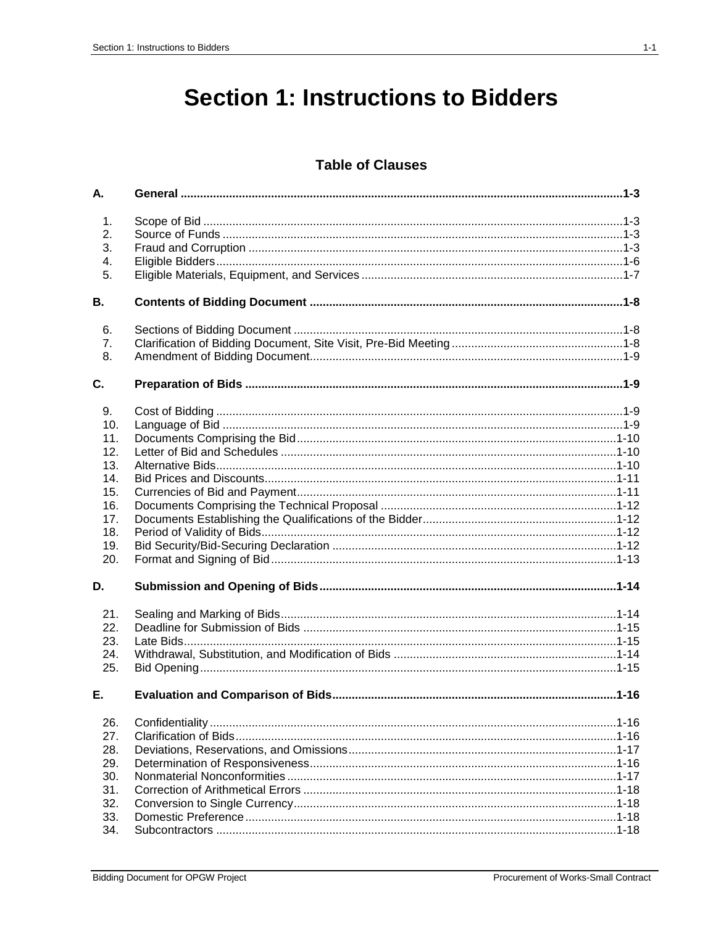# **Section 1: Instructions to Bidders**

## **Table of Clauses**

| А.                         |  |
|----------------------------|--|
| 1.<br>2.<br>3.<br>4.<br>5. |  |
| В.                         |  |
|                            |  |
| 6.                         |  |
| 7.                         |  |
| 8.                         |  |
| C.                         |  |
| 9.                         |  |
| 10.                        |  |
| 11.                        |  |
| 12.                        |  |
| 13.<br>14.                 |  |
| 15.                        |  |
| 16.                        |  |
| 17.                        |  |
| 18.                        |  |
| 19.                        |  |
| 20.                        |  |
| D.                         |  |
| 21.                        |  |
| 22.                        |  |
| 23.                        |  |
| 24.                        |  |
| 25.                        |  |
| Е.                         |  |
| 26.                        |  |
| 27.                        |  |
| 28.                        |  |
| 29.                        |  |
| 30.                        |  |
| 31.                        |  |
| 32.<br>33.                 |  |
| 34.                        |  |
|                            |  |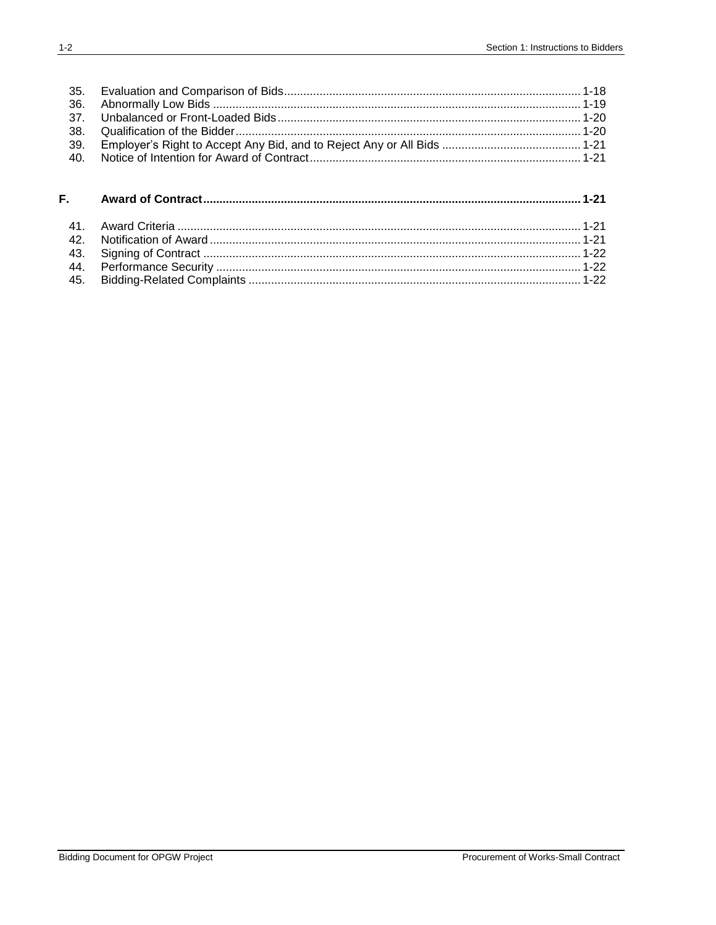| 35. |  |
|-----|--|
| 36. |  |
| 37. |  |
| 38. |  |
| 39. |  |
| 40. |  |
|     |  |
| F.  |  |
| 41. |  |
| 42. |  |
| 43. |  |
| 44. |  |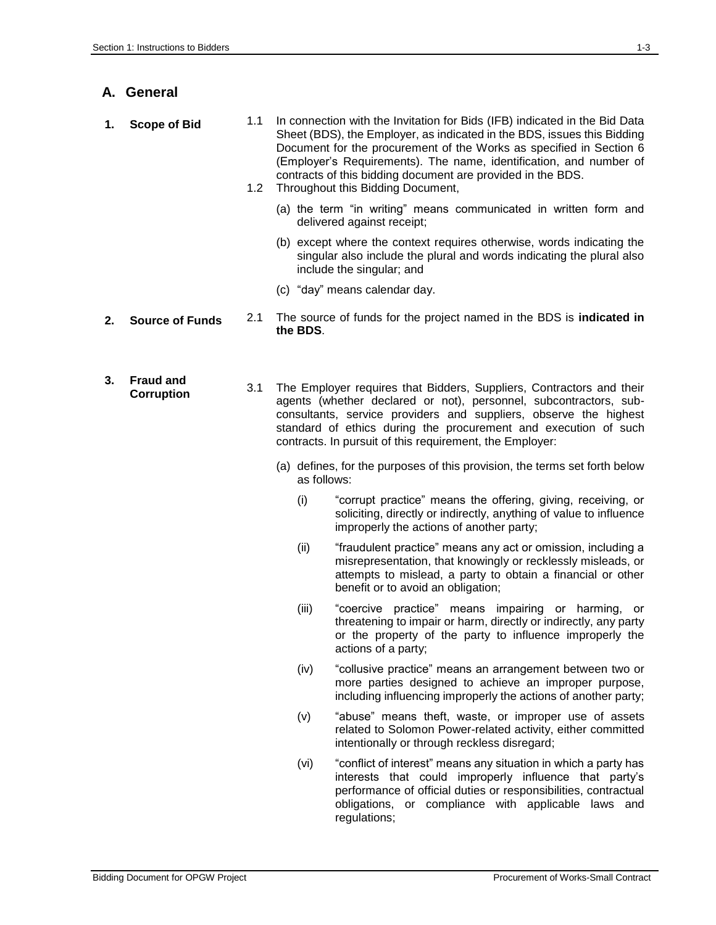**A. General**

| 1. | <b>Scope of Bid</b>            | 1.1<br>1.2 | In connection with the Invitation for Bids (IFB) indicated in the Bid Data<br>Sheet (BDS), the Employer, as indicated in the BDS, issues this Bidding<br>Document for the procurement of the Works as specified in Section 6<br>(Employer's Requirements). The name, identification, and number of<br>contracts of this bidding document are provided in the BDS.<br>Throughout this Bidding Document, |
|----|--------------------------------|------------|--------------------------------------------------------------------------------------------------------------------------------------------------------------------------------------------------------------------------------------------------------------------------------------------------------------------------------------------------------------------------------------------------------|
|    |                                |            | (a) the term "in writing" means communicated in written form and<br>delivered against receipt;                                                                                                                                                                                                                                                                                                         |
|    |                                |            | (b) except where the context requires otherwise, words indicating the<br>singular also include the plural and words indicating the plural also<br>include the singular; and                                                                                                                                                                                                                            |
|    |                                |            | (c) "day" means calendar day.                                                                                                                                                                                                                                                                                                                                                                          |
| 2. | <b>Source of Funds</b>         | 2.1        | The source of funds for the project named in the BDS is <b>indicated in</b><br>the BDS.                                                                                                                                                                                                                                                                                                                |
| 3. | <b>Fraud and</b><br>Corruption | 3.1        | The Employer requires that Bidders, Suppliers, Contractors and their<br>agents (whether declared or not), personnel, subcontractors, sub-<br>consultants, service providers and suppliers, observe the highest<br>standard of ethics during the procurement and execution of such<br>contracts. In pursuit of this requirement, the Employer:                                                          |
|    |                                |            | (a) defines, for the purposes of this provision, the terms set forth below<br>as follows:                                                                                                                                                                                                                                                                                                              |
|    |                                |            | "corrupt practice" means the offering, giving, receiving, or<br>(i)<br>soliciting, directly or indirectly, anything of value to influence<br>improperly the actions of another party;                                                                                                                                                                                                                  |
|    |                                |            |                                                                                                                                                                                                                                                                                                                                                                                                        |

- (ii) "fraudulent practice" means any act or omission, including a misrepresentation, that knowingly or recklessly misleads, or attempts to mislead, a party to obtain a financial or other benefit or to avoid an obligation;
- (iii) "coercive practice" means impairing or harming, or threatening to impair or harm, directly or indirectly, any party or the property of the party to influence improperly the actions of a party;
- (iv) "collusive practice" means an arrangement between two or more parties designed to achieve an improper purpose, including influencing improperly the actions of another party;
- (v) "abuse" means theft, waste, or improper use of assets related to Solomon Power-related activity, either committed intentionally or through reckless disregard;
- (vi) "conflict of interest" means any situation in which a party has interests that could improperly influence that party's performance of official duties or responsibilities, contractual obligations, or compliance with applicable laws and regulations;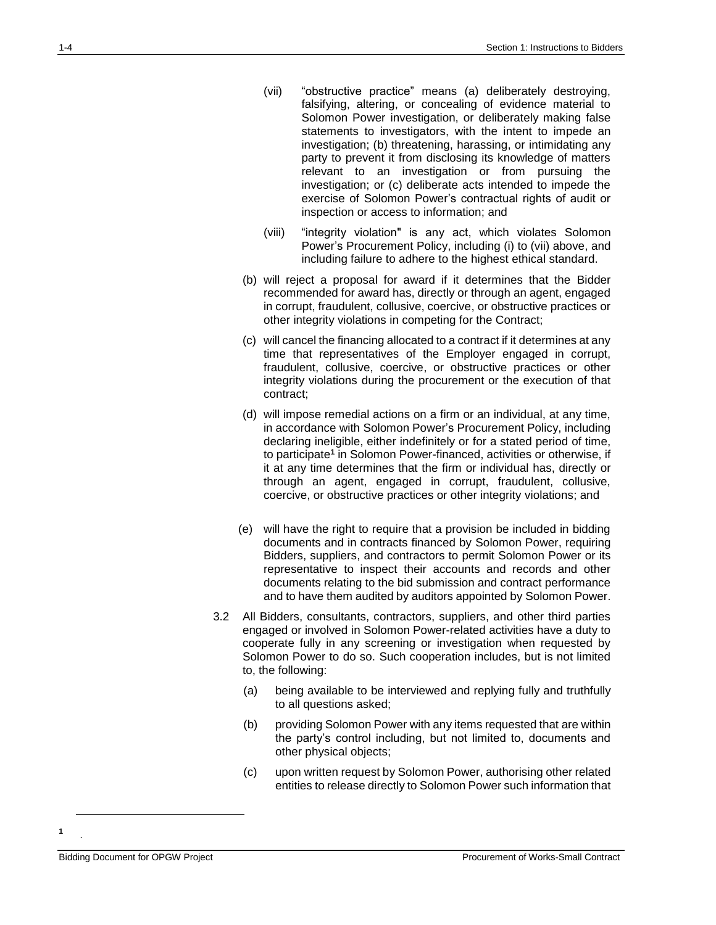- (vii) "obstructive practice" means (a) deliberately destroying, falsifying, altering, or concealing of evidence material to Solomon Power investigation, or deliberately making false statements to investigators, with the intent to impede an investigation; (b) threatening, harassing, or intimidating any party to prevent it from disclosing its knowledge of matters relevant to an investigation or from pursuing the investigation; or (c) deliberate acts intended to impede the exercise of Solomon Power's contractual rights of audit or inspection or access to information; and
- (viii) "integrity violation" is any act, which violates Solomon Power's Procurement Policy, including (i) to (vii) above, and including failure to adhere to the highest ethical standard.
- (b) will reject a proposal for award if it determines that the Bidder recommended for award has, directly or through an agent, engaged in corrupt, fraudulent, collusive, coercive, or obstructive practices or other integrity violations in competing for the Contract;
- (c) will cancel the financing allocated to a contract if it determines at any time that representatives of the Employer engaged in corrupt, fraudulent, collusive, coercive, or obstructive practices or other integrity violations during the procurement or the execution of that contract;
- (d) will impose remedial actions on a firm or an individual, at any time, in accordance with Solomon Power's Procurement Policy, including declaring ineligible, either indefinitely or for a stated period of time, to participate**<sup>1</sup>** in Solomon Power-financed, activities or otherwise, if it at any time determines that the firm or individual has, directly or through an agent, engaged in corrupt, fraudulent, collusive, coercive, or obstructive practices or other integrity violations; and
- (e) will have the right to require that a provision be included in bidding documents and in contracts financed by Solomon Power, requiring Bidders, suppliers, and contractors to permit Solomon Power or its representative to inspect their accounts and records and other documents relating to the bid submission and contract performance and to have them audited by auditors appointed by Solomon Power.
- 3.2 All Bidders, consultants, contractors, suppliers, and other third parties engaged or involved in Solomon Power-related activities have a duty to cooperate fully in any screening or investigation when requested by Solomon Power to do so. Such cooperation includes, but is not limited to, the following:
	- (a) being available to be interviewed and replying fully and truthfully to all questions asked;
	- (b) providing Solomon Power with any items requested that are within the party's control including, but not limited to, documents and other physical objects;
	- (c) upon written request by Solomon Power, authorising other related entities to release directly to Solomon Power such information that

**1** .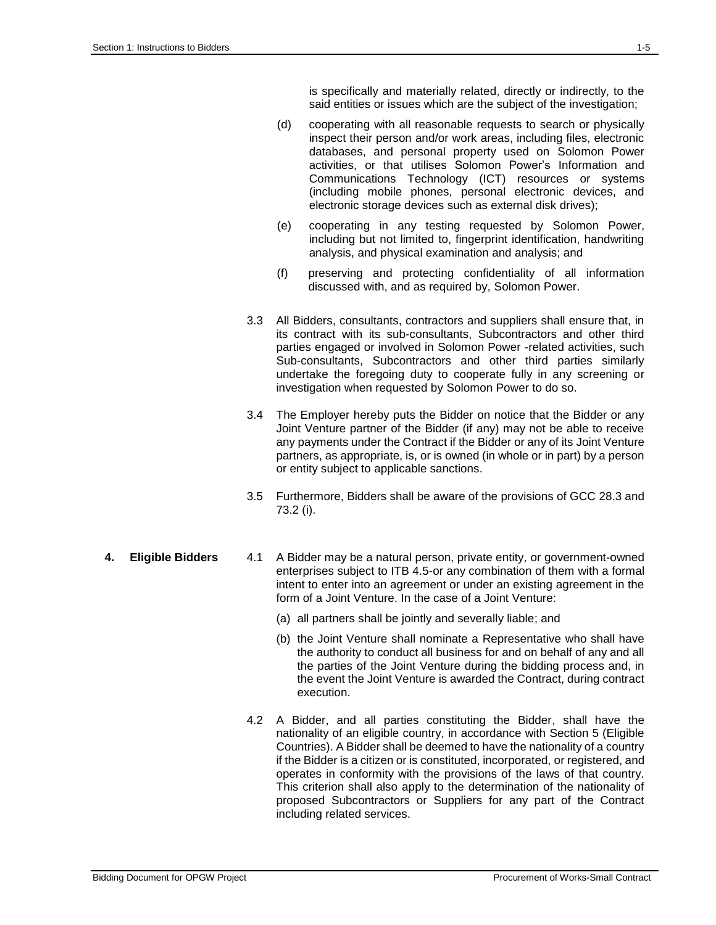is specifically and materially related, directly or indirectly, to the said entities or issues which are the subject of the investigation;

- (d) cooperating with all reasonable requests to search or physically inspect their person and/or work areas, including files, electronic databases, and personal property used on Solomon Power activities, or that utilises Solomon Power's Information and Communications Technology (ICT) resources or systems (including mobile phones, personal electronic devices, and electronic storage devices such as external disk drives);
- (e) cooperating in any testing requested by Solomon Power, including but not limited to, fingerprint identification, handwriting analysis, and physical examination and analysis; and
- (f) preserving and protecting confidentiality of all information discussed with, and as required by, Solomon Power.
- 3.3 All Bidders, consultants, contractors and suppliers shall ensure that, in its contract with its sub-consultants, Subcontractors and other third parties engaged or involved in Solomon Power -related activities, such Sub-consultants, Subcontractors and other third parties similarly undertake the foregoing duty to cooperate fully in any screening or investigation when requested by Solomon Power to do so.
- 3.4 The Employer hereby puts the Bidder on notice that the Bidder or any Joint Venture partner of the Bidder (if any) may not be able to receive any payments under the Contract if the Bidder or any of its Joint Venture partners, as appropriate, is, or is owned (in whole or in part) by a person or entity subject to applicable sanctions.
- 3.5 Furthermore, Bidders shall be aware of the provisions of GCC 28.3 and 73.2 (i).
- **4. Eligible Bidders** 4.1 A Bidder may be a natural person, private entity, or government-owned enterprises subject to ITB 4.5-or any combination of them with a formal intent to enter into an agreement or under an existing agreement in the form of a Joint Venture. In the case of a Joint Venture:
	- (a) all partners shall be jointly and severally liable; and
	- (b) the Joint Venture shall nominate a Representative who shall have the authority to conduct all business for and on behalf of any and all the parties of the Joint Venture during the bidding process and, in the event the Joint Venture is awarded the Contract, during contract execution.
	- 4.2 A Bidder, and all parties constituting the Bidder, shall have the nationality of an eligible country, in accordance with Section 5 (Eligible Countries). A Bidder shall be deemed to have the nationality of a country if the Bidder is a citizen or is constituted, incorporated, or registered, and operates in conformity with the provisions of the laws of that country. This criterion shall also apply to the determination of the nationality of proposed Subcontractors or Suppliers for any part of the Contract including related services.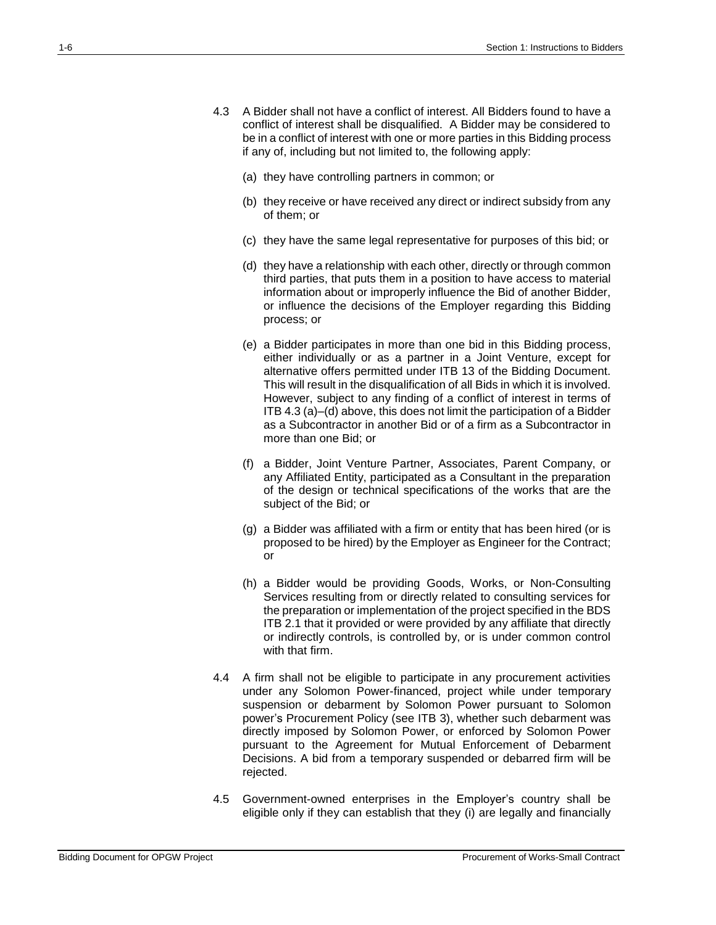- 4.3 A Bidder shall not have a conflict of interest. All Bidders found to have a conflict of interest shall be disqualified. A Bidder may be considered to be in a conflict of interest with one or more parties in this Bidding process if any of, including but not limited to, the following apply:
	- (a) they have controlling partners in common; or
	- (b) they receive or have received any direct or indirect subsidy from any of them; or
	- (c) they have the same legal representative for purposes of this bid; or
	- (d) they have a relationship with each other, directly or through common third parties, that puts them in a position to have access to material information about or improperly influence the Bid of another Bidder, or influence the decisions of the Employer regarding this Bidding process; or
	- (e) a Bidder participates in more than one bid in this Bidding process, either individually or as a partner in a Joint Venture, except for alternative offers permitted under ITB 13 of the Bidding Document. This will result in the disqualification of all Bids in which it is involved. However, subject to any finding of a conflict of interest in terms of ITB 4.3 (a)–(d) above, this does not limit the participation of a Bidder as a Subcontractor in another Bid or of a firm as a Subcontractor in more than one Bid; or
	- (f) a Bidder, Joint Venture Partner, Associates, Parent Company, or any Affiliated Entity, participated as a Consultant in the preparation of the design or technical specifications of the works that are the subject of the Bid; or
	- (g) a Bidder was affiliated with a firm or entity that has been hired (or is proposed to be hired) by the Employer as Engineer for the Contract; or
	- (h) a Bidder would be providing Goods, Works, or Non-Consulting Services resulting from or directly related to consulting services for the preparation or implementation of the project specified in the BDS ITB 2.1 that it provided or were provided by any affiliate that directly or indirectly controls, is controlled by, or is under common control with that firm.
- 4.4 A firm shall not be eligible to participate in any procurement activities under any Solomon Power-financed, project while under temporary suspension or debarment by Solomon Power pursuant to Solomon power's Procurement Policy (see ITB 3), whether such debarment was directly imposed by Solomon Power, or enforced by Solomon Power pursuant to the Agreement for Mutual Enforcement of Debarment Decisions. A bid from a temporary suspended or debarred firm will be rejected.
- 4.5 Government-owned enterprises in the Employer's country shall be eligible only if they can establish that they (i) are legally and financially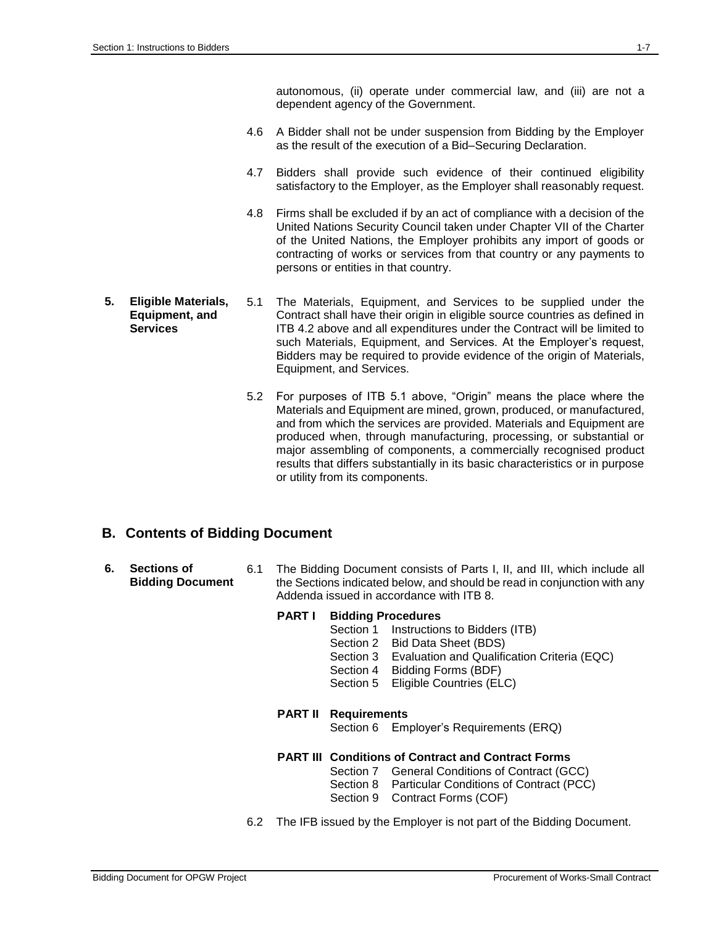autonomous, (ii) operate under commercial law, and (iii) are not a dependent agency of the Government.

- 4.6 A Bidder shall not be under suspension from Bidding by the Employer as the result of the execution of a Bid–Securing Declaration.
- 4.7 Bidders shall provide such evidence of their continued eligibility satisfactory to the Employer, as the Employer shall reasonably request.
- 4.8 Firms shall be excluded if by an act of compliance with a decision of the United Nations Security Council taken under Chapter VII of the Charter of the United Nations, the Employer prohibits any import of goods or contracting of works or services from that country or any payments to persons or entities in that country.
- **5. Eligible Materials, Equipment, and Services** 5.1 The Materials, Equipment, and Services to be supplied under the Contract shall have their origin in eligible source countries as defined in ITB 4.2 above and all expenditures under the Contract will be limited to such Materials, Equipment, and Services. At the Employer's request, Bidders may be required to provide evidence of the origin of Materials, Equipment, and Services.
	- 5.2 For purposes of ITB 5.1 above, "Origin" means the place where the Materials and Equipment are mined, grown, produced, or manufactured, and from which the services are provided. Materials and Equipment are produced when, through manufacturing, processing, or substantial or major assembling of components, a commercially recognised product results that differs substantially in its basic characteristics or in purpose or utility from its components.

### **B. Contents of Bidding Document**

**6. Sections of Bidding Document** 6.1 The Bidding Document consists of Parts I, II, and III, which include all the Sections indicated below, and should be read in conjunction with any Addenda issued in accordance with ITB 8.

#### **PART I Bidding Procedures**

- Section 1 Instructions to Bidders (ITB)
- Section 2 Bid Data Sheet (BDS)
- Section 3 Evaluation and Qualification Criteria (EQC)
- Section 4 Bidding Forms (BDF)
- Section 5 Eligible Countries (ELC)

#### **PART II Requirements**

Section 6 Employer's Requirements (ERQ)

#### **PART III Conditions of Contract and Contract Forms**

- Section 7 General Conditions of Contract (GCC)
- Section 8 Particular Conditions of Contract (PCC)
- Section 9 Contract Forms (COF)
- 6.2 The IFB issued by the Employer is not part of the Bidding Document.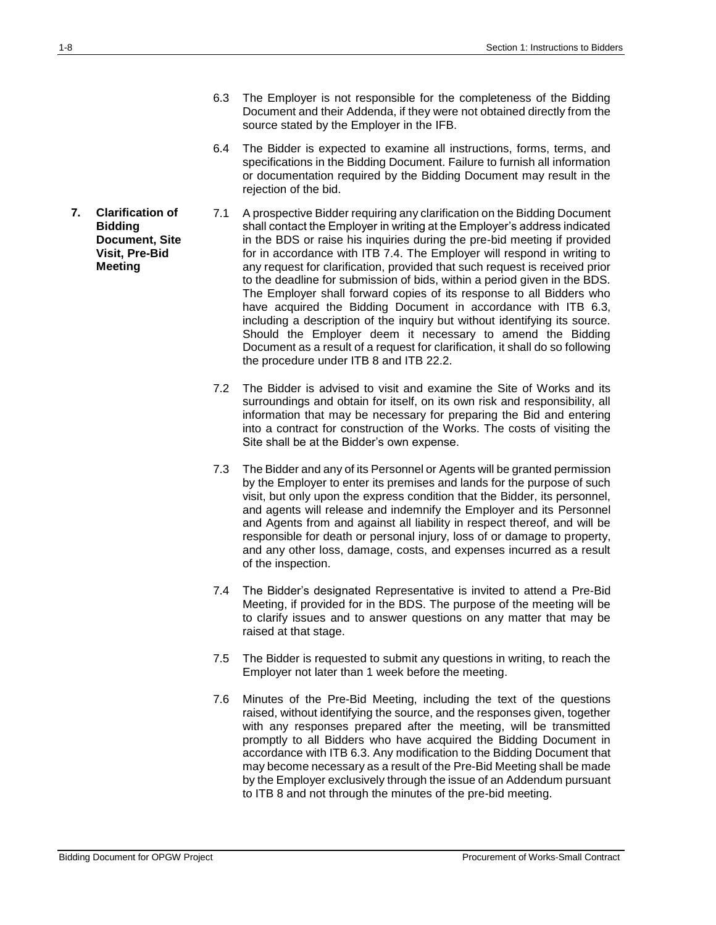- 6.3 The Employer is not responsible for the completeness of the Bidding Document and their Addenda, if they were not obtained directly from the source stated by the Employer in the IFB.
- 6.4 The Bidder is expected to examine all instructions, forms, terms, and specifications in the Bidding Document. Failure to furnish all information or documentation required by the Bidding Document may result in the rejection of the bid.
- 7.1 A prospective Bidder requiring any clarification on the Bidding Document shall contact the Employer in writing at the Employer's address indicated in the BDS or raise his inquiries during the pre-bid meeting if provided for in accordance with ITB 7.4. The Employer will respond in writing to any request for clarification, provided that such request is received prior to the deadline for submission of bids, within a period given in the BDS. The Employer shall forward copies of its response to all Bidders who have acquired the Bidding Document in accordance with ITB 6.3, including a description of the inquiry but without identifying its source. Should the Employer deem it necessary to amend the Bidding Document as a result of a request for clarification, it shall do so following the procedure under ITB 8 and ITB 22.2.
	- 7.2 The Bidder is advised to visit and examine the Site of Works and its surroundings and obtain for itself, on its own risk and responsibility, all information that may be necessary for preparing the Bid and entering into a contract for construction of the Works. The costs of visiting the Site shall be at the Bidder's own expense.
	- 7.3 The Bidder and any of its Personnel or Agents will be granted permission by the Employer to enter its premises and lands for the purpose of such visit, but only upon the express condition that the Bidder, its personnel, and agents will release and indemnify the Employer and its Personnel and Agents from and against all liability in respect thereof, and will be responsible for death or personal injury, loss of or damage to property, and any other loss, damage, costs, and expenses incurred as a result of the inspection.
	- 7.4 The Bidder's designated Representative is invited to attend a Pre-Bid Meeting, if provided for in the BDS. The purpose of the meeting will be to clarify issues and to answer questions on any matter that may be raised at that stage.
	- 7.5 The Bidder is requested to submit any questions in writing, to reach the Employer not later than 1 week before the meeting.
	- 7.6 Minutes of the Pre-Bid Meeting, including the text of the questions raised, without identifying the source, and the responses given, together with any responses prepared after the meeting, will be transmitted promptly to all Bidders who have acquired the Bidding Document in accordance with ITB 6.3. Any modification to the Bidding Document that may become necessary as a result of the Pre-Bid Meeting shall be made by the Employer exclusively through the issue of an Addendum pursuant to ITB 8 and not through the minutes of the pre-bid meeting.

**7. Clarification of Bidding Document, Site Visit, Pre-Bid Meeting**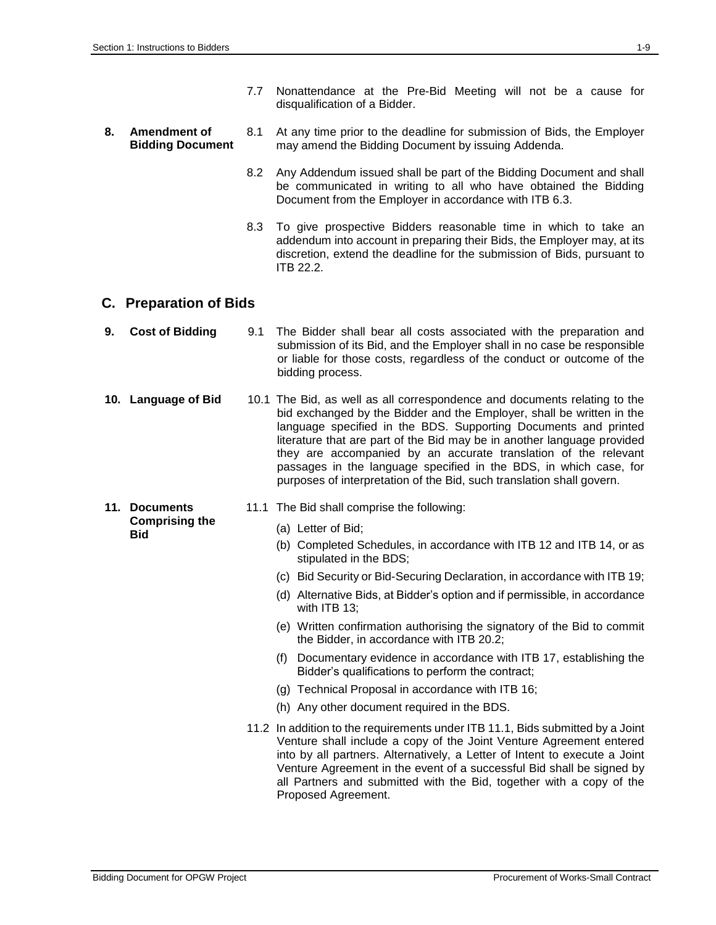- 7.7 Nonattendance at the Pre-Bid Meeting will not be a cause for disqualification of a Bidder.
- **8. Amendment of Bidding Document** 8.1 At any time prior to the deadline for submission of Bids, the Employer may amend the Bidding Document by issuing Addenda.
	- 8.2 Any Addendum issued shall be part of the Bidding Document and shall be communicated in writing to all who have obtained the Bidding Document from the Employer in accordance with ITB 6.3.
	- 8.3 To give prospective Bidders reasonable time in which to take an addendum into account in preparing their Bids, the Employer may, at its discretion, extend the deadline for the submission of Bids, pursuant to ITB 22.2.

### **C. Preparation of Bids**

- **9. Cost of Bidding** 9.1 The Bidder shall bear all costs associated with the preparation and submission of its Bid, and the Employer shall in no case be responsible or liable for those costs, regardless of the conduct or outcome of the bidding process.
- **10. Language of Bid** 10.1 The Bid, as well as all correspondence and documents relating to the bid exchanged by the Bidder and the Employer, shall be written in the language specified in the BDS. Supporting Documents and printed literature that are part of the Bid may be in another language provided they are accompanied by an accurate translation of the relevant passages in the language specified in the BDS, in which case, for purposes of interpretation of the Bid, such translation shall govern.
- **11. Documents Comprising the Bid**
- 11.1 The Bid shall comprise the following:
	- (a) Letter of Bid;
	- (b) Completed Schedules, in accordance with ITB 12 and ITB 14, or as stipulated in the BDS;
	- (c) Bid Security or Bid-Securing Declaration, in accordance with ITB 19;
	- (d) Alternative Bids, at Bidder's option and if permissible, in accordance with ITB 13:
	- (e) Written confirmation authorising the signatory of the Bid to commit the Bidder, in accordance with ITB 20.2;
	- (f) Documentary evidence in accordance with ITB 17, establishing the Bidder's qualifications to perform the contract;
	- (g) Technical Proposal in accordance with ITB 16;
	- (h) Any other document required in the BDS.
- 11.2 In addition to the requirements under ITB 11.1, Bids submitted by a Joint Venture shall include a copy of the Joint Venture Agreement entered into by all partners. Alternatively, a Letter of Intent to execute a Joint Venture Agreement in the event of a successful Bid shall be signed by all Partners and submitted with the Bid, together with a copy of the Proposed Agreement.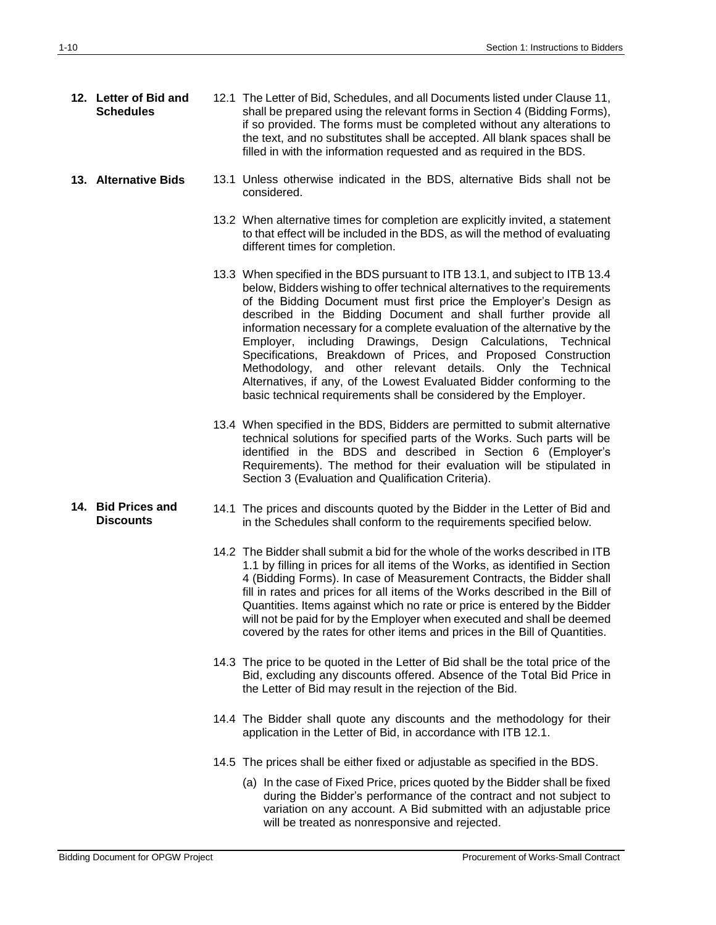| 12. Letter of Bid and<br><b>Schedules</b> | 12.1 The Letter of Bid, Schedules, and all Documents listed under Clause 11,<br>shall be prepared using the relevant forms in Section 4 (Bidding Forms),<br>if so provided. The forms must be completed without any alterations to<br>the text, and no substitutes shall be accepted. All blank spaces shall be<br>filled in with the information requested and as required in the BDS.                                                                                                                                                                                                                                                                                                                                         |
|-------------------------------------------|---------------------------------------------------------------------------------------------------------------------------------------------------------------------------------------------------------------------------------------------------------------------------------------------------------------------------------------------------------------------------------------------------------------------------------------------------------------------------------------------------------------------------------------------------------------------------------------------------------------------------------------------------------------------------------------------------------------------------------|
| 13. Alternative Bids                      | 13.1 Unless otherwise indicated in the BDS, alternative Bids shall not be<br>considered.                                                                                                                                                                                                                                                                                                                                                                                                                                                                                                                                                                                                                                        |
|                                           | 13.2 When alternative times for completion are explicitly invited, a statement<br>to that effect will be included in the BDS, as will the method of evaluating<br>different times for completion.                                                                                                                                                                                                                                                                                                                                                                                                                                                                                                                               |
|                                           | 13.3 When specified in the BDS pursuant to ITB 13.1, and subject to ITB 13.4<br>below, Bidders wishing to offer technical alternatives to the requirements<br>of the Bidding Document must first price the Employer's Design as<br>described in the Bidding Document and shall further provide all<br>information necessary for a complete evaluation of the alternative by the<br>Employer, including Drawings, Design Calculations, Technical<br>Specifications, Breakdown of Prices, and Proposed Construction<br>Methodology, and other relevant details. Only the Technical<br>Alternatives, if any, of the Lowest Evaluated Bidder conforming to the<br>basic technical requirements shall be considered by the Employer. |
|                                           | 13.4 When specified in the BDS, Bidders are permitted to submit alternative<br>technical solutions for specified parts of the Works. Such parts will be<br>identified in the BDS and described in Section 6 (Employer's<br>Requirements). The method for their evaluation will be stipulated in<br>Section 3 (Evaluation and Qualification Criteria).                                                                                                                                                                                                                                                                                                                                                                           |
| 14. Bid Prices and<br><b>Discounts</b>    | 14.1 The prices and discounts quoted by the Bidder in the Letter of Bid and<br>in the Schedules shall conform to the requirements specified below.                                                                                                                                                                                                                                                                                                                                                                                                                                                                                                                                                                              |
|                                           | 14.2 The Bidder shall submit a bid for the whole of the works described in ITB<br>1.1 by filling in prices for all items of the Works, as identified in Section<br>4 (Bidding Forms). In case of Measurement Contracts, the Bidder shall<br>fill in rates and prices for all items of the Works described in the Bill of<br>Quantities. Items against which no rate or price is entered by the Bidder<br>will not be paid for by the Employer when executed and shall be deemed<br>covered by the rates for other items and prices in the Bill of Quantities.                                                                                                                                                                   |
|                                           | 14.3 The price to be quoted in the Letter of Bid shall be the total price of the<br>Bid, excluding any discounts offered. Absence of the Total Bid Price in<br>the Letter of Bid may result in the rejection of the Bid.                                                                                                                                                                                                                                                                                                                                                                                                                                                                                                        |
|                                           | 14.4 The Bidder shall quote any discounts and the methodology for their<br>application in the Letter of Bid, in accordance with ITB 12.1.                                                                                                                                                                                                                                                                                                                                                                                                                                                                                                                                                                                       |
|                                           | 14.5 The prices shall be either fixed or adjustable as specified in the BDS.                                                                                                                                                                                                                                                                                                                                                                                                                                                                                                                                                                                                                                                    |
|                                           | (a) In the case of Fixed Price, prices quoted by the Bidder shall be fixed<br>during the Bidder's performance of the contract and not subject to<br>variation on any account. A Bid submitted with an adjustable price<br>will be treated as nonresponsive and rejected.                                                                                                                                                                                                                                                                                                                                                                                                                                                        |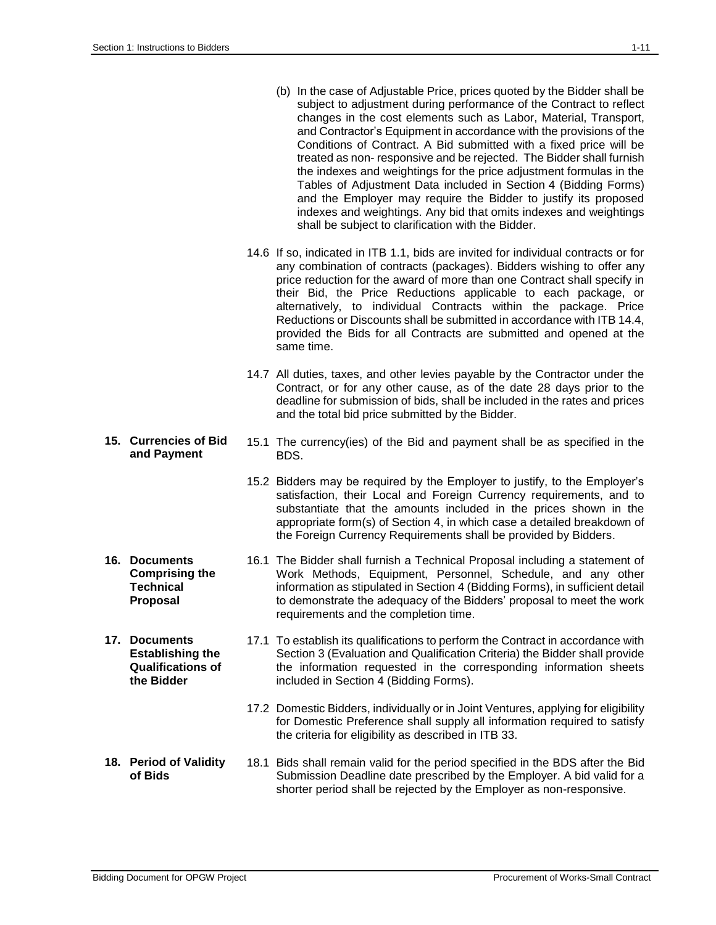- (b) In the case of Adjustable Price, prices quoted by the Bidder shall be subject to adjustment during performance of the Contract to reflect changes in the cost elements such as Labor, Material, Transport, and Contractor's Equipment in accordance with the provisions of the Conditions of Contract. A Bid submitted with a fixed price will be treated as non- responsive and be rejected. The Bidder shall furnish the indexes and weightings for the price adjustment formulas in the Tables of Adjustment Data included in Section 4 (Bidding Forms) and the Employer may require the Bidder to justify its proposed indexes and weightings. Any bid that omits indexes and weightings shall be subject to clarification with the Bidder.
- 14.6 If so, indicated in ITB 1.1, bids are invited for individual contracts or for any combination of contracts (packages). Bidders wishing to offer any price reduction for the award of more than one Contract shall specify in their Bid, the Price Reductions applicable to each package, or alternatively, to individual Contracts within the package. Price Reductions or Discounts shall be submitted in accordance with ITB 14.4, provided the Bids for all Contracts are submitted and opened at the same time.
- 14.7 All duties, taxes, and other levies payable by the Contractor under the Contract, or for any other cause, as of the date 28 days prior to the deadline for submission of bids, shall be included in the rates and prices and the total bid price submitted by the Bidder.
- **15. Currencies of Bid and Payment** 15.1 The currency(ies) of the Bid and payment shall be as specified in the BDS.
	- 15.2 Bidders may be required by the Employer to justify, to the Employer's satisfaction, their Local and Foreign Currency requirements, and to substantiate that the amounts included in the prices shown in the appropriate form(s) of Section 4, in which case a detailed breakdown of the Foreign Currency Requirements shall be provided by Bidders.
	- 16.1 The Bidder shall furnish a Technical Proposal including a statement of Work Methods, Equipment, Personnel, Schedule, and any other information as stipulated in Section 4 (Bidding Forms), in sufficient detail to demonstrate the adequacy of the Bidders' proposal to meet the work requirements and the completion time.
	- 17.1 To establish its qualifications to perform the Contract in accordance with Section 3 (Evaluation and Qualification Criteria) the Bidder shall provide the information requested in the corresponding information sheets included in Section 4 (Bidding Forms).
		- 17.2 Domestic Bidders, individually or in Joint Ventures, applying for eligibility for Domestic Preference shall supply all information required to satisfy the criteria for eligibility as described in ITB 33.
- **18. Period of Validity of Bids** 18.1 Bids shall remain valid for the period specified in the BDS after the Bid Submission Deadline date prescribed by the Employer. A bid valid for a shorter period shall be rejected by the Employer as non-responsive.
- **16. Documents Comprising the Technical Proposal**
- **17. Documents Establishing the Qualifications of the Bidder**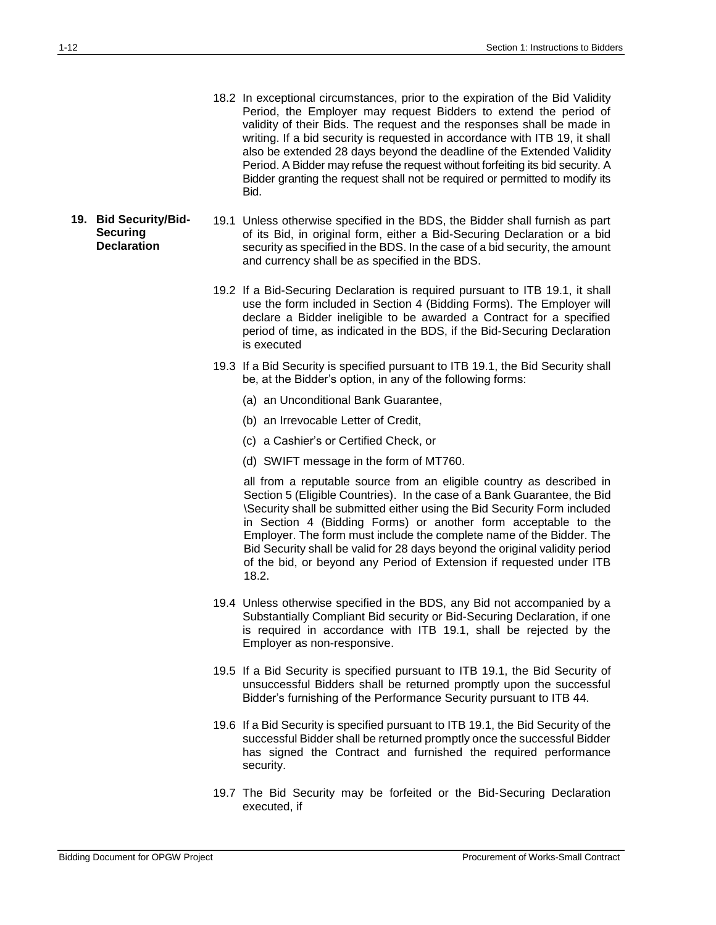- 18.2 In exceptional circumstances, prior to the expiration of the Bid Validity Period, the Employer may request Bidders to extend the period of validity of their Bids. The request and the responses shall be made in writing. If a bid security is requested in accordance with ITB 19, it shall also be extended 28 days beyond the deadline of the Extended Validity Period. A Bidder may refuse the request without forfeiting its bid security. A Bidder granting the request shall not be required or permitted to modify its Bid.
- **19. Bid Security/Bid-Securing Declaration** 19.1 Unless otherwise specified in the BDS, the Bidder shall furnish as part of its Bid, in original form, either a Bid-Securing Declaration or a bid security as specified in the BDS. In the case of a bid security, the amount and currency shall be as specified in the BDS.
	- 19.2 If a Bid-Securing Declaration is required pursuant to ITB 19.1, it shall use the form included in Section 4 (Bidding Forms). The Employer will declare a Bidder ineligible to be awarded a Contract for a specified period of time, as indicated in the BDS, if the Bid-Securing Declaration is executed
	- 19.3 If a Bid Security is specified pursuant to ITB 19.1, the Bid Security shall be, at the Bidder's option, in any of the following forms:
		- (a) an Unconditional Bank Guarantee,
		- (b) an Irrevocable Letter of Credit,
		- (c) a Cashier's or Certified Check, or
		- (d) SWIFT message in the form of MT760.

all from a reputable source from an eligible country as described in Section 5 (Eligible Countries). In the case of a Bank Guarantee, the Bid \Security shall be submitted either using the Bid Security Form included in Section 4 (Bidding Forms) or another form acceptable to the Employer. The form must include the complete name of the Bidder. The Bid Security shall be valid for 28 days beyond the original validity period of the bid, or beyond any Period of Extension if requested under ITB 18.2.

- 19.4 Unless otherwise specified in the BDS, any Bid not accompanied by a Substantially Compliant Bid security or Bid-Securing Declaration, if one is required in accordance with ITB 19.1, shall be rejected by the Employer as non-responsive.
- 19.5 If a Bid Security is specified pursuant to ITB 19.1, the Bid Security of unsuccessful Bidders shall be returned promptly upon the successful Bidder's furnishing of the Performance Security pursuant to ITB 44.
- 19.6 If a Bid Security is specified pursuant to ITB 19.1, the Bid Security of the successful Bidder shall be returned promptly once the successful Bidder has signed the Contract and furnished the required performance security.
- 19.7 The Bid Security may be forfeited or the Bid-Securing Declaration executed, if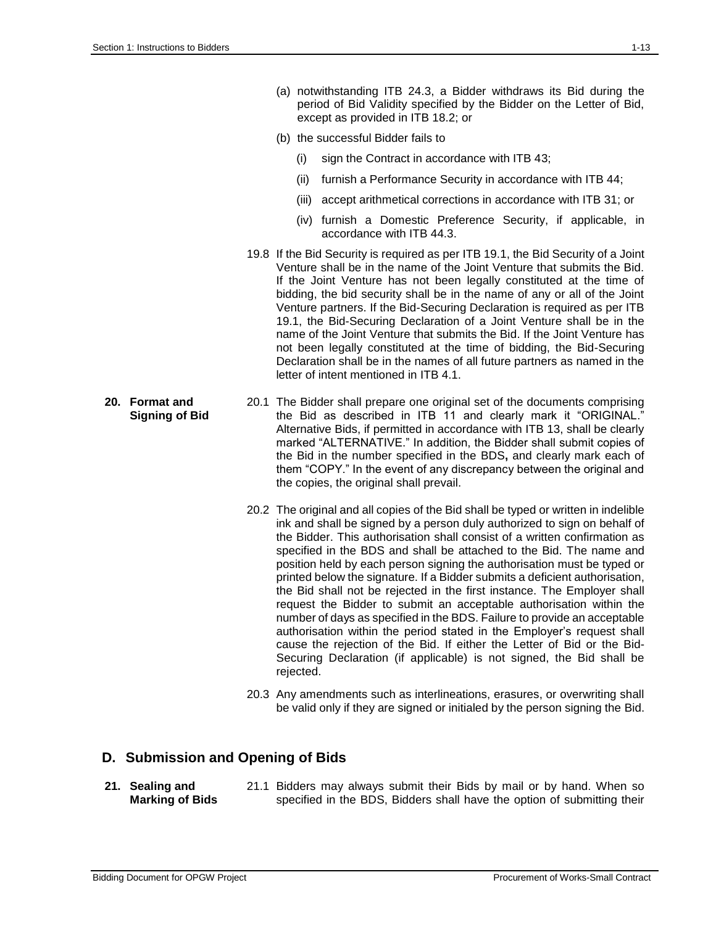- (a) notwithstanding ITB 24.3, a Bidder withdraws its Bid during the period of Bid Validity specified by the Bidder on the Letter of Bid, except as provided in ITB 18.2; or
- (b) the successful Bidder fails to
	- (i) sign the Contract in accordance with ITB 43;
	- (ii) furnish a Performance Security in accordance with ITB 44;
	- (iii) accept arithmetical corrections in accordance with ITB 31; or
	- (iv) furnish a Domestic Preference Security, if applicable, in accordance with ITB 44.3.
- 19.8 If the Bid Security is required as per ITB 19.1, the Bid Security of a Joint Venture shall be in the name of the Joint Venture that submits the Bid. If the Joint Venture has not been legally constituted at the time of bidding, the bid security shall be in the name of any or all of the Joint Venture partners. If the Bid-Securing Declaration is required as per ITB 19.1, the Bid-Securing Declaration of a Joint Venture shall be in the name of the Joint Venture that submits the Bid. If the Joint Venture has not been legally constituted at the time of bidding, the Bid-Securing Declaration shall be in the names of all future partners as named in the letter of intent mentioned in ITB 4.1.
- **20. Format and Signing of Bid** 20.1 The Bidder shall prepare one original set of the documents comprising the Bid as described in ITB 11 and clearly mark it "ORIGINAL." Alternative Bids, if permitted in accordance with ITB 13, shall be clearly marked "ALTERNATIVE." In addition, the Bidder shall submit copies of the Bid in the number specified in the BDS**,** and clearly mark each of them "COPY." In the event of any discrepancy between the original and the copies, the original shall prevail.
	- 20.2 The original and all copies of the Bid shall be typed or written in indelible ink and shall be signed by a person duly authorized to sign on behalf of the Bidder. This authorisation shall consist of a written confirmation as specified in the BDS and shall be attached to the Bid. The name and position held by each person signing the authorisation must be typed or printed below the signature. If a Bidder submits a deficient authorisation, the Bid shall not be rejected in the first instance. The Employer shall request the Bidder to submit an acceptable authorisation within the number of days as specified in the BDS. Failure to provide an acceptable authorisation within the period stated in the Employer's request shall cause the rejection of the Bid. If either the Letter of Bid or the Bid-Securing Declaration (if applicable) is not signed, the Bid shall be rejected.
	- 20.3 Any amendments such as interlineations, erasures, or overwriting shall be valid only if they are signed or initialed by the person signing the Bid.

### **D. Submission and Opening of Bids**

**21. Sealing and Marking of Bids** 21.1 Bidders may always submit their Bids by mail or by hand. When so specified in the BDS, Bidders shall have the option of submitting their

- -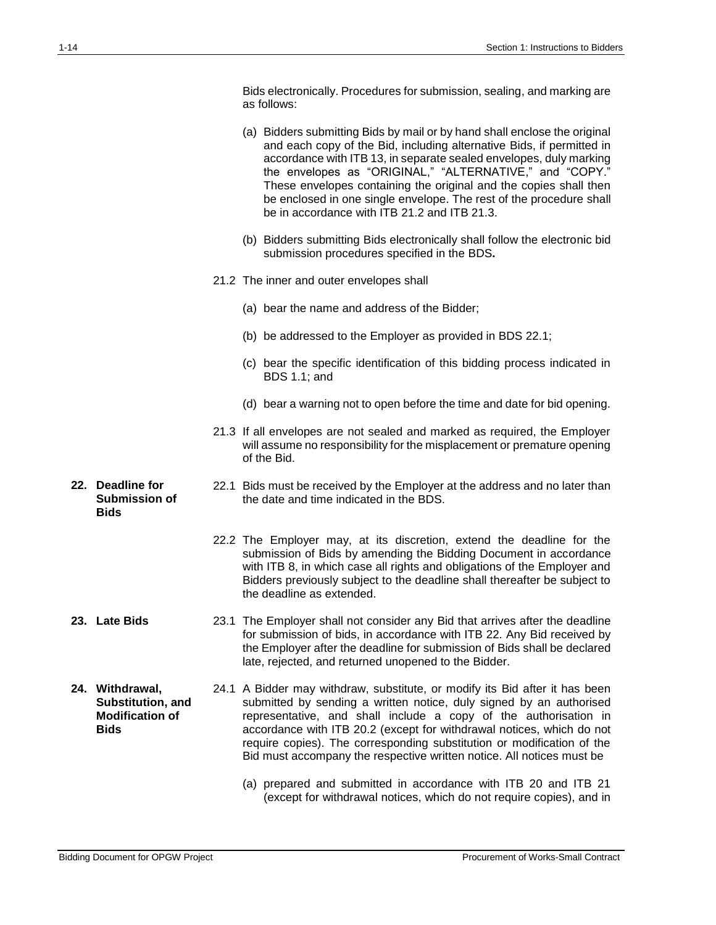Bids electronically. Procedures for submission, sealing, and marking are as follows:

- (a) Bidders submitting Bids by mail or by hand shall enclose the original and each copy of the Bid, including alternative Bids, if permitted in accordance with ITB 13, in separate sealed envelopes, duly marking the envelopes as "ORIGINAL," "ALTERNATIVE," and "COPY." These envelopes containing the original and the copies shall then be enclosed in one single envelope. The rest of the procedure shall be in accordance with ITB 21.2 and ITB 21.3.
- (b) Bidders submitting Bids electronically shall follow the electronic bid submission procedures specified in the BDS**.**
- 21.2 The inner and outer envelopes shall
	- (a) bear the name and address of the Bidder;
	- (b) be addressed to the Employer as provided in BDS 22.1;
	- (c) bear the specific identification of this bidding process indicated in BDS 1.1; and
	- (d) bear a warning not to open before the time and date for bid opening.
- 21.3 If all envelopes are not sealed and marked as required, the Employer will assume no responsibility for the misplacement or premature opening of the Bid.
- 22.1 Bids must be received by the Employer at the address and no later than the date and time indicated in the BDS.
	- 22.2 The Employer may, at its discretion, extend the deadline for the submission of Bids by amending the Bidding Document in accordance with ITB 8, in which case all rights and obligations of the Employer and Bidders previously subject to the deadline shall thereafter be subject to the deadline as extended.
- **23. Late Bids** 23.1 The Employer shall not consider any Bid that arrives after the deadline for submission of bids, in accordance with ITB 22. Any Bid received by the Employer after the deadline for submission of Bids shall be declared late, rejected, and returned unopened to the Bidder.
- **24. Withdrawal, Substitution, and Modification of Bids** 24.1 A Bidder may withdraw, substitute, or modify its Bid after it has been submitted by sending a written notice, duly signed by an authorised representative, and shall include a copy of the authorisation in accordance with ITB 20.2 (except for withdrawal notices, which do not require copies). The corresponding substitution or modification of the Bid must accompany the respective written notice. All notices must be
	- (a) prepared and submitted in accordance with ITB 20 and ITB 21 (except for withdrawal notices, which do not require copies), and in

**22. Deadline for** 

**Bids**

**Submission of**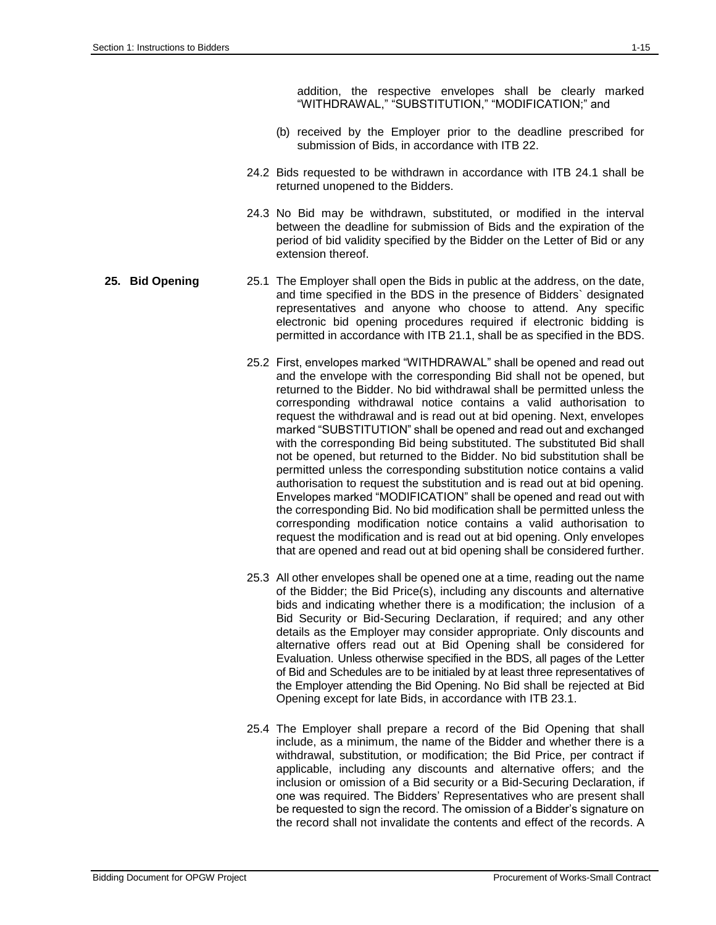- (b) received by the Employer prior to the deadline prescribed for submission of Bids, in accordance with ITB 22.
- 24.2 Bids requested to be withdrawn in accordance with ITB 24.1 shall be returned unopened to the Bidders.
- 24.3 No Bid may be withdrawn, substituted, or modified in the interval between the deadline for submission of Bids and the expiration of the period of bid validity specified by the Bidder on the Letter of Bid or any extension thereof.

#### **25. Bid Opening** 25.1 The Employer shall open the Bids in public at the address, on the date, and time specified in the BDS in the presence of Bidders` designated representatives and anyone who choose to attend. Any specific electronic bid opening procedures required if electronic bidding is permitted in accordance with ITB 21.1, shall be as specified in the BDS.

- 25.2 First, envelopes marked "WITHDRAWAL" shall be opened and read out and the envelope with the corresponding Bid shall not be opened, but returned to the Bidder. No bid withdrawal shall be permitted unless the corresponding withdrawal notice contains a valid authorisation to request the withdrawal and is read out at bid opening. Next, envelopes marked "SUBSTITUTION" shall be opened and read out and exchanged with the corresponding Bid being substituted. The substituted Bid shall not be opened, but returned to the Bidder. No bid substitution shall be permitted unless the corresponding substitution notice contains a valid authorisation to request the substitution and is read out at bid opening. Envelopes marked "MODIFICATION" shall be opened and read out with the corresponding Bid. No bid modification shall be permitted unless the corresponding modification notice contains a valid authorisation to request the modification and is read out at bid opening. Only envelopes that are opened and read out at bid opening shall be considered further.
- 25.3 All other envelopes shall be opened one at a time, reading out the name of the Bidder; the Bid Price(s), including any discounts and alternative bids and indicating whether there is a modification; the inclusion of a Bid Security or Bid-Securing Declaration, if required; and any other details as the Employer may consider appropriate. Only discounts and alternative offers read out at Bid Opening shall be considered for Evaluation. Unless otherwise specified in the BDS, all pages of the Letter of Bid and Schedules are to be initialed by at least three representatives of the Employer attending the Bid Opening. No Bid shall be rejected at Bid Opening except for late Bids, in accordance with ITB 23.1.
- 25.4 The Employer shall prepare a record of the Bid Opening that shall include, as a minimum, the name of the Bidder and whether there is a withdrawal, substitution, or modification; the Bid Price, per contract if applicable, including any discounts and alternative offers; and the inclusion or omission of a Bid security or a Bid-Securing Declaration, if one was required. The Bidders' Representatives who are present shall be requested to sign the record. The omission of a Bidder's signature on the record shall not invalidate the contents and effect of the records. A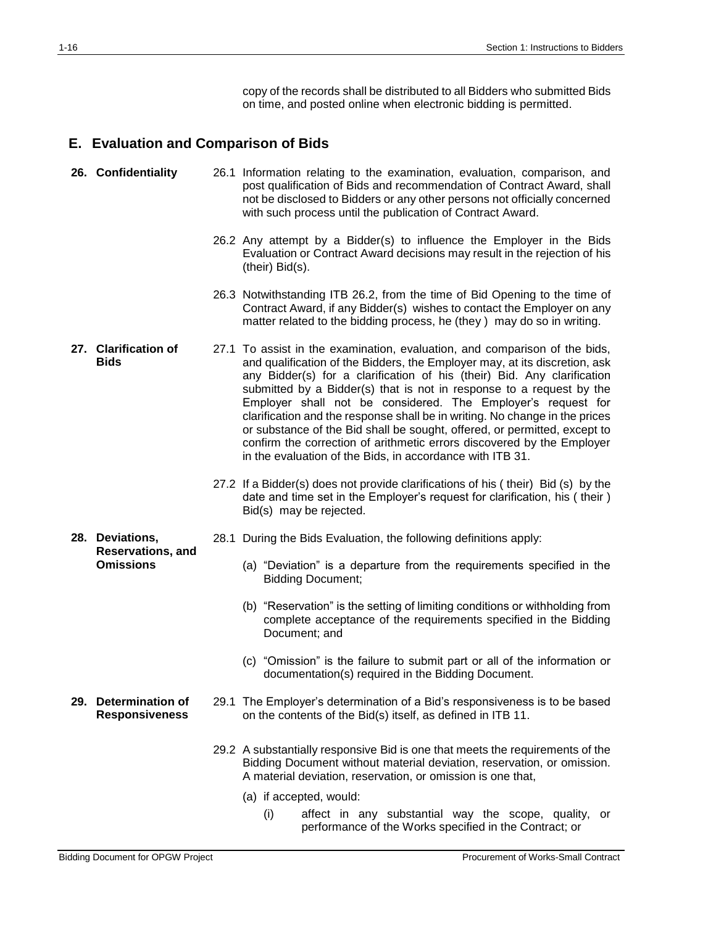copy of the records shall be distributed to all Bidders who submitted Bids on time, and posted online when electronic bidding is permitted.

## **E. Evaluation and Comparison of Bids**

|     | 26. Confidentiality                              | 26.1 Information relating to the examination, evaluation, comparison, and<br>post qualification of Bids and recommendation of Contract Award, shall<br>not be disclosed to Bidders or any other persons not officially concerned<br>with such process until the publication of Contract Award.                                                                                                                                                                                                                                                                                                                                                                                 |
|-----|--------------------------------------------------|--------------------------------------------------------------------------------------------------------------------------------------------------------------------------------------------------------------------------------------------------------------------------------------------------------------------------------------------------------------------------------------------------------------------------------------------------------------------------------------------------------------------------------------------------------------------------------------------------------------------------------------------------------------------------------|
|     |                                                  | 26.2 Any attempt by a Bidder(s) to influence the Employer in the Bids<br>Evaluation or Contract Award decisions may result in the rejection of his<br>$(their)$ Bid $(s)$ .                                                                                                                                                                                                                                                                                                                                                                                                                                                                                                    |
|     |                                                  | 26.3 Notwithstanding ITB 26.2, from the time of Bid Opening to the time of<br>Contract Award, if any Bidder(s) wishes to contact the Employer on any<br>matter related to the bidding process, he (they) may do so in writing.                                                                                                                                                                                                                                                                                                                                                                                                                                                 |
|     | 27. Clarification of<br><b>Bids</b>              | 27.1 To assist in the examination, evaluation, and comparison of the bids,<br>and qualification of the Bidders, the Employer may, at its discretion, ask<br>any Bidder(s) for a clarification of his (their) Bid. Any clarification<br>submitted by a Bidder(s) that is not in response to a request by the<br>Employer shall not be considered. The Employer's request for<br>clarification and the response shall be in writing. No change in the prices<br>or substance of the Bid shall be sought, offered, or permitted, except to<br>confirm the correction of arithmetic errors discovered by the Employer<br>in the evaluation of the Bids, in accordance with ITB 31. |
|     |                                                  | 27.2 If a Bidder(s) does not provide clarifications of his (their) Bid (s) by the<br>date and time set in the Employer's request for clarification, his (their)<br>Bid(s) may be rejected.                                                                                                                                                                                                                                                                                                                                                                                                                                                                                     |
|     | 28. Deviations,                                  | 28.1 During the Bids Evaluation, the following definitions apply:                                                                                                                                                                                                                                                                                                                                                                                                                                                                                                                                                                                                              |
|     | <b>Reservations, and</b><br><b>Omissions</b>     | (a) "Deviation" is a departure from the requirements specified in the<br><b>Bidding Document;</b>                                                                                                                                                                                                                                                                                                                                                                                                                                                                                                                                                                              |
|     |                                                  | (b) "Reservation" is the setting of limiting conditions or withholding from<br>complete acceptance of the requirements specified in the Bidding<br>Document; and                                                                                                                                                                                                                                                                                                                                                                                                                                                                                                               |
|     |                                                  | (c) "Omission" is the failure to submit part or all of the information or<br>documentation(s) required in the Bidding Document.                                                                                                                                                                                                                                                                                                                                                                                                                                                                                                                                                |
| 29. | <b>Determination of</b><br><b>Responsiveness</b> | 29.1 The Employer's determination of a Bid's responsiveness is to be based<br>on the contents of the Bid(s) itself, as defined in ITB 11.                                                                                                                                                                                                                                                                                                                                                                                                                                                                                                                                      |
|     |                                                  | 29.2 A substantially responsive Bid is one that meets the requirements of the<br>Bidding Document without material deviation, reservation, or omission.<br>A material deviation, reservation, or omission is one that,                                                                                                                                                                                                                                                                                                                                                                                                                                                         |
|     |                                                  | (a) if accepted, would:<br>affect in any substantial way the scope, quality, or<br>(i)                                                                                                                                                                                                                                                                                                                                                                                                                                                                                                                                                                                         |
|     |                                                  | performance of the Works specified in the Contract; or                                                                                                                                                                                                                                                                                                                                                                                                                                                                                                                                                                                                                         |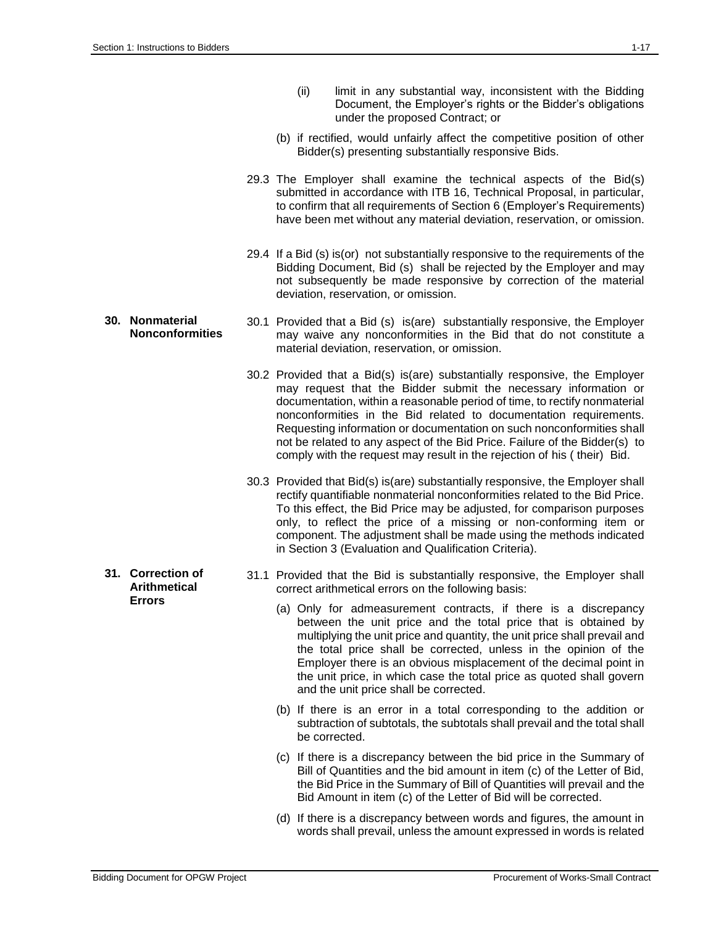- (ii) limit in any substantial way, inconsistent with the Bidding Document, the Employer's rights or the Bidder's obligations under the proposed Contract; or
- (b) if rectified, would unfairly affect the competitive position of other Bidder(s) presenting substantially responsive Bids.
- 29.3 The Employer shall examine the technical aspects of the Bid(s) submitted in accordance with ITB 16, Technical Proposal, in particular, to confirm that all requirements of Section 6 (Employer's Requirements) have been met without any material deviation, reservation, or omission.
- 29.4 If a Bid (s) is(or) not substantially responsive to the requirements of the Bidding Document, Bid (s) shall be rejected by the Employer and may not subsequently be made responsive by correction of the material deviation, reservation, or omission.
- **Nonconformities** 30.1 Provided that a Bid (s) is(are) substantially responsive, the Employer may waive any nonconformities in the Bid that do not constitute a material deviation, reservation, or omission.
	- 30.2 Provided that a Bid(s) is(are) substantially responsive, the Employer may request that the Bidder submit the necessary information or documentation, within a reasonable period of time, to rectify nonmaterial nonconformities in the Bid related to documentation requirements. Requesting information or documentation on such nonconformities shall not be related to any aspect of the Bid Price. Failure of the Bidder(s) to comply with the request may result in the rejection of his ( their) Bid.
	- 30.3 Provided that Bid(s) is(are) substantially responsive, the Employer shall rectify quantifiable nonmaterial nonconformities related to the Bid Price. To this effect, the Bid Price may be adjusted, for comparison purposes only, to reflect the price of a missing or non-conforming item or component. The adjustment shall be made using the methods indicated in Section 3 (Evaluation and Qualification Criteria).
	- 31.1 Provided that the Bid is substantially responsive, the Employer shall correct arithmetical errors on the following basis:
		- (a) Only for admeasurement contracts, if there is a discrepancy between the unit price and the total price that is obtained by multiplying the unit price and quantity, the unit price shall prevail and the total price shall be corrected, unless in the opinion of the Employer there is an obvious misplacement of the decimal point in the unit price, in which case the total price as quoted shall govern and the unit price shall be corrected.
		- (b) If there is an error in a total corresponding to the addition or subtraction of subtotals, the subtotals shall prevail and the total shall be corrected.
		- (c) If there is a discrepancy between the bid price in the Summary of Bill of Quantities and the bid amount in item (c) of the Letter of Bid, the Bid Price in the Summary of Bill of Quantities will prevail and the Bid Amount in item (c) of the Letter of Bid will be corrected.
		- (d) If there is a discrepancy between words and figures, the amount in words shall prevail, unless the amount expressed in words is related

# **30. Nonmaterial**

**31. Correction of Arithmetical Errors**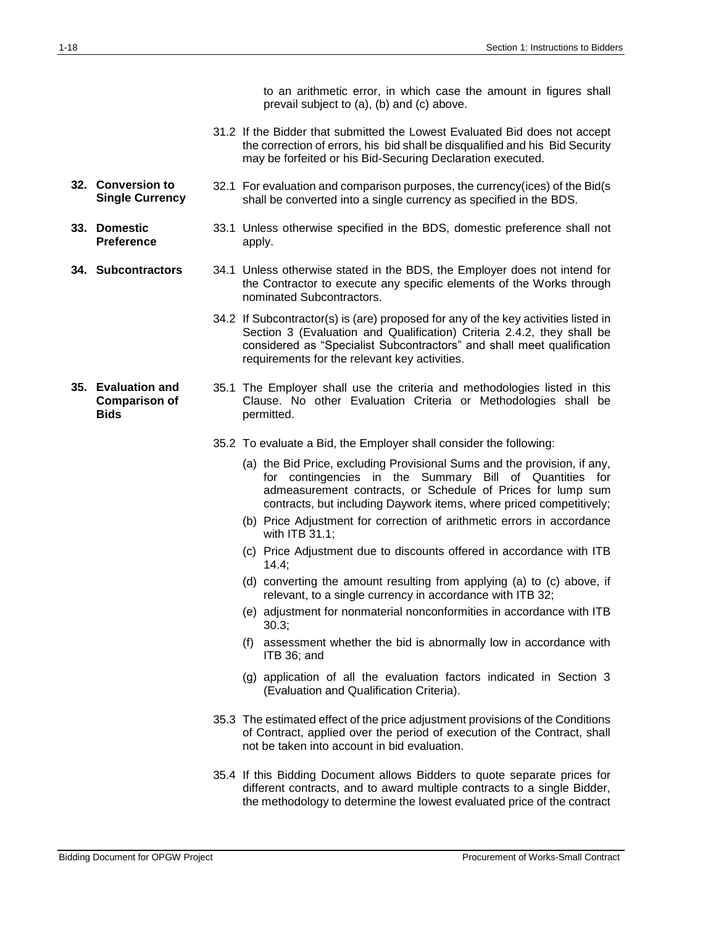to an arithmetic error, in which case the amount in figures shall prevail subject to (a), (b) and (c) above.

- 31.2 If the Bidder that submitted the Lowest Evaluated Bid does not accept the correction of errors, his bid shall be disqualified and his Bid Security may be forfeited or his Bid-Securing Declaration executed.
- **32. Conversion to Single Currency** 32.1 For evaluation and comparison purposes, the currency(ices) of the Bid(s shall be converted into a single currency as specified in the BDS.
- **33. Domestic Preference** 33.1 Unless otherwise specified in the BDS, domestic preference shall not apply.
- **34. Subcontractors** 34.1 Unless otherwise stated in the BDS, the Employer does not intend for the Contractor to execute any specific elements of the Works through nominated Subcontractors.
	- 34.2 If Subcontractor(s) is (are) proposed for any of the key activities listed in Section 3 (Evaluation and Qualification) Criteria 2.4.2, they shall be considered as "Specialist Subcontractors" and shall meet qualification requirements for the relevant key activities.
- **35. Evaluation and Comparison of Bids** 35.1 The Employer shall use the criteria and methodologies listed in this Clause. No other Evaluation Criteria or Methodologies shall be permitted.
	- 35.2 To evaluate a Bid, the Employer shall consider the following:
		- (a) the Bid Price, excluding Provisional Sums and the provision, if any, for contingencies in the Summary Bill of Quantities for admeasurement contracts, or Schedule of Prices for lump sum contracts, but including Daywork items, where priced competitively;
		- (b) Price Adjustment for correction of arithmetic errors in accordance with ITB 31.1;
		- (c) Price Adjustment due to discounts offered in accordance with ITB 14.4;
		- (d) converting the amount resulting from applying (a) to (c) above, if relevant, to a single currency in accordance with ITB 32;
		- (e) adjustment for nonmaterial nonconformities in accordance with ITB 30.3;
		- (f) assessment whether the bid is abnormally low in accordance with ITB 36; and
		- (g) application of all the evaluation factors indicated in Section 3 (Evaluation and Qualification Criteria).
	- 35.3 The estimated effect of the price adjustment provisions of the Conditions of Contract, applied over the period of execution of the Contract, shall not be taken into account in bid evaluation.
	- 35.4 If this Bidding Document allows Bidders to quote separate prices for different contracts, and to award multiple contracts to a single Bidder, the methodology to determine the lowest evaluated price of the contract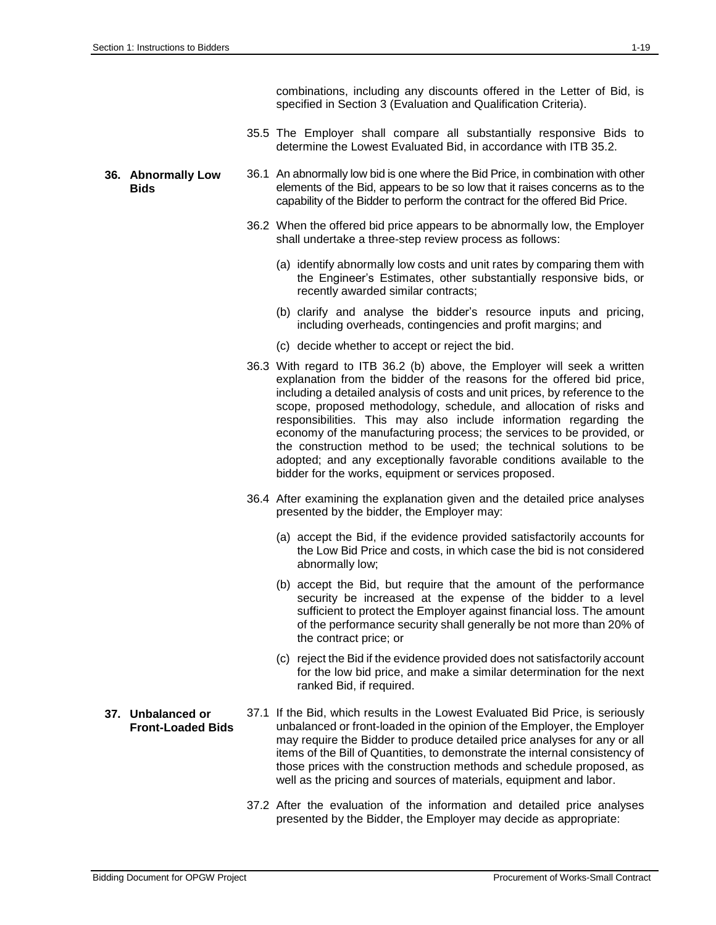combinations, including any discounts offered in the Letter of Bid, is specified in Section 3 (Evaluation and Qualification Criteria).

- 35.5 The Employer shall compare all substantially responsive Bids to determine the Lowest Evaluated Bid, in accordance with ITB 35.2.
- **36. Abnormally Low Bids**
- 36.1 An abnormally low bid is one where the Bid Price, in combination with other elements of the Bid, appears to be so low that it raises concerns as to the capability of the Bidder to perform the contract for the offered Bid Price.
- 36.2 When the offered bid price appears to be abnormally low, the Employer shall undertake a three-step review process as follows:
	- (a) identify abnormally low costs and unit rates by comparing them with the Engineer's Estimates, other substantially responsive bids, or recently awarded similar contracts;
	- (b) clarify and analyse the bidder's resource inputs and pricing, including overheads, contingencies and profit margins; and
	- (c) decide whether to accept or reject the bid.
- 36.3 With regard to ITB 36.2 (b) above, the Employer will seek a written explanation from the bidder of the reasons for the offered bid price, including a detailed analysis of costs and unit prices, by reference to the scope, proposed methodology, schedule, and allocation of risks and responsibilities. This may also include information regarding the economy of the manufacturing process; the services to be provided, or the construction method to be used; the technical solutions to be adopted; and any exceptionally favorable conditions available to the bidder for the works, equipment or services proposed.
- 36.4 After examining the explanation given and the detailed price analyses presented by the bidder, the Employer may:
	- (a) accept the Bid, if the evidence provided satisfactorily accounts for the Low Bid Price and costs, in which case the bid is not considered abnormally low;
	- (b) accept the Bid, but require that the amount of the performance security be increased at the expense of the bidder to a level sufficient to protect the Employer against financial loss. The amount of the performance security shall generally be not more than 20% of the contract price; or
	- (c) reject the Bid if the evidence provided does not satisfactorily account for the low bid price, and make a similar determination for the next ranked Bid, if required.
- 37.1 If the Bid, which results in the Lowest Evaluated Bid Price, is seriously unbalanced or front-loaded in the opinion of the Employer, the Employer may require the Bidder to produce detailed price analyses for any or all items of the Bill of Quantities, to demonstrate the internal consistency of those prices with the construction methods and schedule proposed, as well as the pricing and sources of materials, equipment and labor.
	- 37.2 After the evaluation of the information and detailed price analyses presented by the Bidder, the Employer may decide as appropriate:
- **37. Unbalanced or Front-Loaded Bids**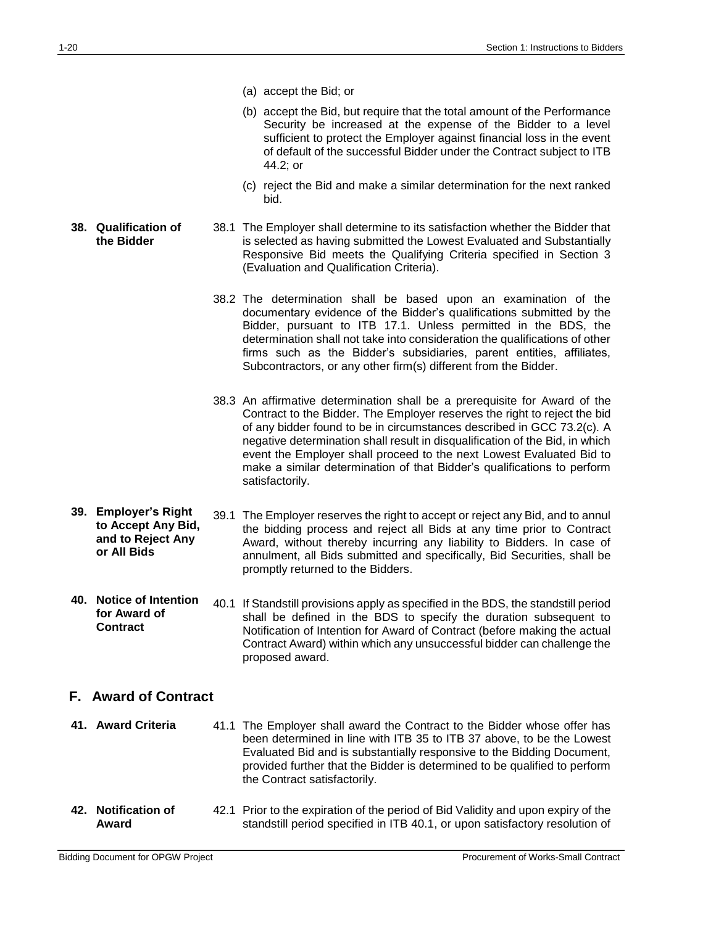- (a) accept the Bid; or
- (b) accept the Bid, but require that the total amount of the Performance Security be increased at the expense of the Bidder to a level sufficient to protect the Employer against financial loss in the event of default of the successful Bidder under the Contract subject to ITB 44.2; or
- (c) reject the Bid and make a similar determination for the next ranked bid.
- **38. Qualification of the Bidder** 38.1 The Employer shall determine to its satisfaction whether the Bidder that is selected as having submitted the Lowest Evaluated and Substantially Responsive Bid meets the Qualifying Criteria specified in Section 3 (Evaluation and Qualification Criteria).
	- 38.2 The determination shall be based upon an examination of the documentary evidence of the Bidder's qualifications submitted by the Bidder, pursuant to ITB 17.1. Unless permitted in the BDS, the determination shall not take into consideration the qualifications of other firms such as the Bidder's subsidiaries, parent entities, affiliates, Subcontractors, or any other firm(s) different from the Bidder.
	- 38.3 An affirmative determination shall be a prerequisite for Award of the Contract to the Bidder. The Employer reserves the right to reject the bid of any bidder found to be in circumstances described in GCC 73.2(c). A negative determination shall result in disqualification of the Bid, in which event the Employer shall proceed to the next Lowest Evaluated Bid to make a similar determination of that Bidder's qualifications to perform satisfactorily.
- **39. Employer's Right to Accept Any Bid, and to Reject Any or All Bids** 39.1 The Employer reserves the right to accept or reject any Bid, and to annul the bidding process and reject all Bids at any time prior to Contract Award, without thereby incurring any liability to Bidders. In case of annulment, all Bids submitted and specifically, Bid Securities, shall be promptly returned to the Bidders.
- **40. Notice of Intention for Award of Contract** 40.1 If Standstill provisions apply as specified in the BDS, the standstill period shall be defined in the BDS to specify the duration subsequent to Notification of Intention for Award of Contract (before making the actual Contract Award) within which any unsuccessful bidder can challenge the proposed award.

#### **F. Award of Contract**

- **41. Award Criteria** 41.1 The Employer shall award the Contract to the Bidder whose offer has been determined in line with ITB 35 to ITB 37 above, to be the Lowest Evaluated Bid and is substantially responsive to the Bidding Document, provided further that the Bidder is determined to be qualified to perform the Contract satisfactorily.
- **42. Notification of Award**  42.1 Prior to the expiration of the period of Bid Validity and upon expiry of the standstill period specified in ITB 40.1, or upon satisfactory resolution of